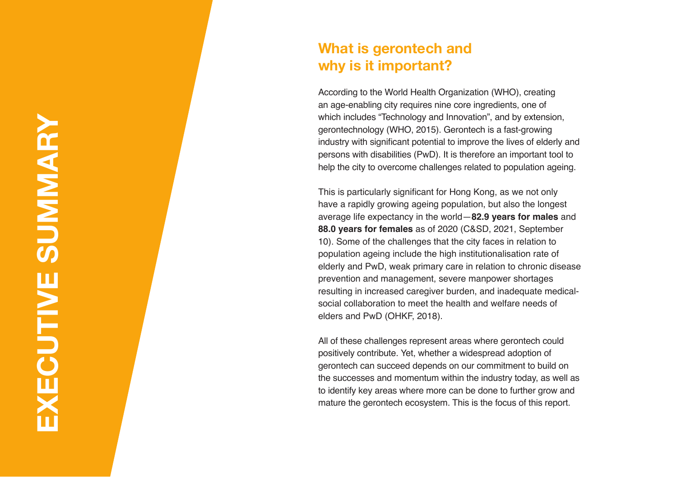### **What is gerontech and why is it important?**

According to the World Health Organization (WHO), creating an age-enabling city requires nine core ingredients, one of which includes "Technology and Innovation", and by extension, gerontechnology (WHO, 2015). Gerontech is a fast-growing industry with significant potential to improve the lives of elderly and persons with disabilities (PwD). It is therefore an important tool to help the city to overcome challenges related to population ageing.

This is particularly significant for Hong Kong, as we not only have a rapidly growing ageing population, but also the longest average life expectancy in the world—**82.9 years for males** and **88.0 years for females** as of 2020 (C&SD, 2021, September 10). Some of the challenges that the city faces in relation to population ageing include the high institutionalisation rate of elderly and PwD, weak primary care in relation to chronic disease prevention and management, severe manpower shortages resulting in increased caregiver burden, and inadequate medicalsocial collaboration to meet the health and welfare needs of elders and PwD (OHKF, 2018).

All of these challenges represent areas where gerontech could positively contribute. Yet, whether a widespread adoption of gerontech can succeed depends on our commitment to build on the successes and momentum within the industry today, as well as to identify key areas where more can be done to further grow and mature the gerontech ecosystem. This is the focus of this report.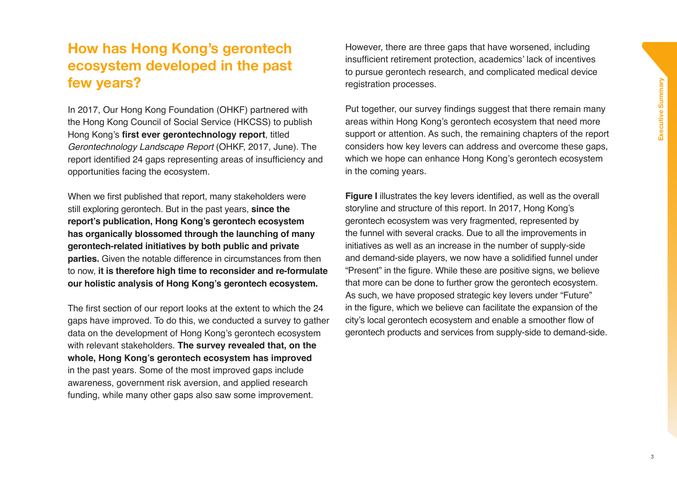# **How has Hong Kong's gerontech ecosystem developed in the past few years?**

In 2017, Our Hong Kong Foundation (OHKF) partnered with the Hong Kong Council of Social Service (HKCSS) to publish Hong Kong's **first ever gerontechnology report**, titled *Gerontechnology Landscape Report* (OHKF, 2017, June). The report identified 24 gaps representing areas of insufficiency and opportunities facing the ecosystem.

When we first published that report, many stakeholders were still exploring gerontech. But in the past years, **since the report's publication, Hong Kong's gerontech ecosystem has organically blossomed through the launching of many gerontech-related initiatives by both public and private parties.** Given the notable difference in circumstances from then to now, **it is therefore high time to reconsider and re-formulate our holistic analysis of Hong Kong's gerontech ecosystem.**

The first section of our report looks at the extent to which the 24 gaps have improved. To do this, we conducted a survey to gather data on the development of Hong Kong's gerontech ecosystem with relevant stakeholders. **The survey revealed that, on the whole, Hong Kong's gerontech ecosystem has improved** in the past years. Some of the most improved gaps include awareness, government risk aversion, and applied research funding, while many other gaps also saw some improvement.

However, there are three gaps that have worsened, including insufficient retirement protection, academics' lack of incentives to pursue gerontech research, and complicated medical device registration processes.

Put together, our survey findings suggest that there remain many areas within Hong Kong's gerontech ecosystem that need more support or attention. As such, the remaining chapters of the report considers how key levers can address and overcome these gaps, which we hope can enhance Hong Kong's gerontech ecosystem in the coming years.

**Figure I** illustrates the key levers identified, as well as the overall storyline and structure of this report. In 2017, Hong Kong's gerontech ecosystem was very fragmented, represented by the funnel with several cracks. Due to all the improvements in initiatives as well as an increase in the number of supply-side and demand-side players, we now have a solidified funnel under "Present" in the figure. While these are positive signs, we believe that more can be done to further grow the gerontech ecosystem. As such, we have proposed strategic key levers under "Future" in the figure, which we believe can facilitate the expansion of the city's local gerontech ecosystem and enable a smoother flow of gerontech products and services from supply-side to demand-side.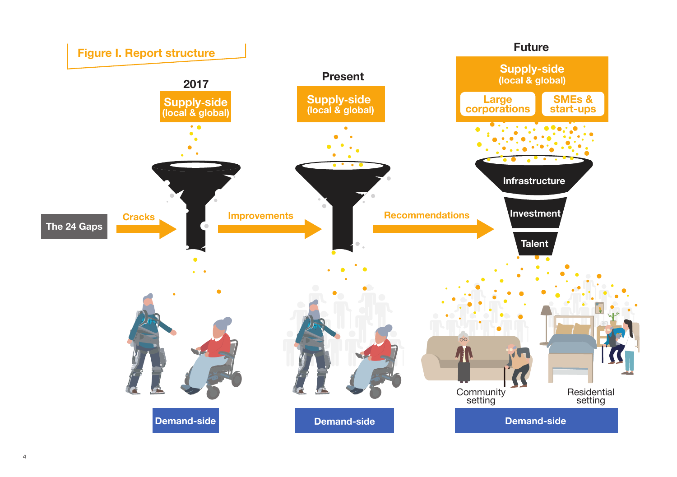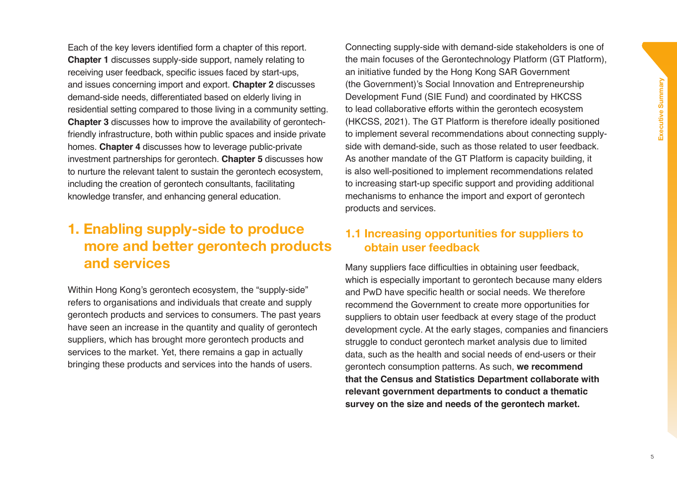Each of the key levers identified form a chapter of this report. **Chapter 1** discusses supply-side support, namely relating to receiving user feedback, specific issues faced by start-ups, and issues concerning import and export. **Chapter 2** discusses demand-side needs, differentiated based on elderly living in residential setting compared to those living in a community setting. **Chapter 3** discusses how to improve the availability of gerontechfriendly infrastructure, both within public spaces and inside private homes. **Chapter 4** discusses how to leverage public-private investment partnerships for gerontech. **Chapter 5** discusses how to nurture the relevant talent to sustain the gerontech ecosystem, including the creation of gerontech consultants, facilitating knowledge transfer, and enhancing general education.

## **1. Enabling supply-side to produce more and better gerontech products and services**

Within Hong Kong's gerontech ecosystem, the "supply-side" refers to organisations and individuals that create and supply gerontech products and services to consumers. The past years have seen an increase in the quantity and quality of gerontech suppliers, which has brought more gerontech products and services to the market. Yet, there remains a gap in actually bringing these products and services into the hands of users.

Connecting supply-side with demand-side stakeholders is one of the main focuses of the Gerontechnology Platform (GT Platform), an initiative funded by the Hong Kong SAR Government (the Government)'s Social Innovation and Entrepreneurship Development Fund (SIE Fund) and coordinated by HKCSS to lead collaborative efforts within the gerontech ecosystem (HKCSS, 2021). The GT Platform is therefore ideally positioned to implement several recommendations about connecting supplyside with demand-side, such as those related to user feedback. As another mandate of the GT Platform is capacity building, it is also well-positioned to implement recommendations related to increasing start-up specific support and providing additional mechanisms to enhance the import and export of gerontech products and services.

#### **1.1 Increasing opportunities for suppliers to obtain user feedback**

Many suppliers face difficulties in obtaining user feedback, which is especially important to gerontech because many elders and PwD have specific health or social needs. We therefore recommend the Government to create more opportunities for suppliers to obtain user feedback at every stage of the product development cycle. At the early stages, companies and financiers struggle to conduct gerontech market analysis due to limited data, such as the health and social needs of end-users or their gerontech consumption patterns. As such, **we recommend that the Census and Statistics Department collaborate with relevant government departments to conduct a thematic survey on the size and needs of the gerontech market.**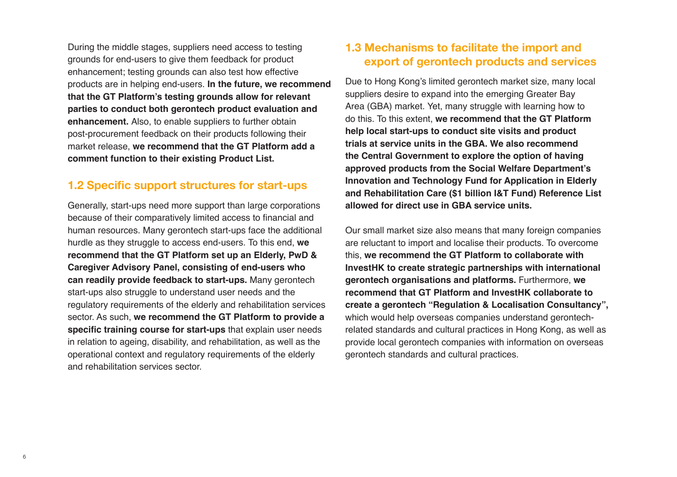During the middle stages, suppliers need access to testing grounds for end-users to give them feedback for product enhancement; testing grounds can also test how effective products are in helping end-users. **In the future, we recommend that the GT Platform's testing grounds allow for relevant parties to conduct both gerontech product evaluation and enhancement.** Also, to enable suppliers to further obtain post-procurement feedback on their products following their market release, **we recommend that the GT Platform add a comment function to their existing Product List.**

### **1.2 Specific support structures for start-ups**

Generally, start-ups need more support than large corporations because of their comparatively limited access to financial and human resources. Many gerontech start-ups face the additional hurdle as they struggle to access end-users. To this end, **we recommend that the GT Platform set up an Elderly, PwD & Caregiver Advisory Panel, consisting of end-users who can readily provide feedback to start-ups.** Many gerontech start-ups also struggle to understand user needs and the regulatory requirements of the elderly and rehabilitation services sector. As such, **we recommend the GT Platform to provide a specific training course for start-ups** that explain user needs in relation to ageing, disability, and rehabilitation, as well as the operational context and regulatory requirements of the elderly and rehabilitation services sector.

### **1.3 Mechanisms to facilitate the import and export of gerontech products and services**

Due to Hong Kong's limited gerontech market size, many local suppliers desire to expand into the emerging Greater Bay Area (GBA) market. Yet, many struggle with learning how to do this. To this extent, **we recommend that the GT Platform help local start-ups to conduct site visits and product trials at service units in the GBA. We also recommend the Central Government to explore the option of having approved products from the Social Welfare Department's Innovation and Technology Fund for Application in Elderly and Rehabilitation Care (\$1 billion I&T Fund) Reference List allowed for direct use in GBA service units.**

Our small market size also means that many foreign companies are reluctant to import and localise their products. To overcome this, **we recommend the GT Platform to collaborate with InvestHK to create strategic partnerships with international gerontech organisations and platforms.** Furthermore, **we recommend that GT Platform and InvestHK collaborate to create a gerontech "Regulation & Localisation Consultancy",** which would help overseas companies understand gerontechrelated standards and cultural practices in Hong Kong, as well as provide local gerontech companies with information on overseas gerontech standards and cultural practices.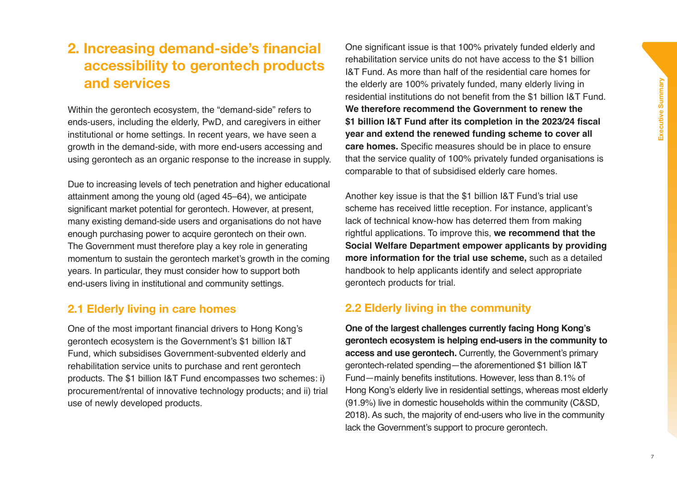## **2. Increasing demand-side's financial accessibility to gerontech products and services**

Within the gerontech ecosystem, the "demand-side" refers to ends-users, including the elderly, PwD, and caregivers in either institutional or home settings. In recent years, we have seen a growth in the demand-side, with more end-users accessing and using gerontech as an organic response to the increase in supply.

Due to increasing levels of tech penetration and higher educational attainment among the young old (aged 45–64), we anticipate significant market potential for gerontech. However, at present, many existing demand-side users and organisations do not have enough purchasing power to acquire gerontech on their own. The Government must therefore play a key role in generating momentum to sustain the gerontech market's growth in the coming years. In particular, they must consider how to support both end-users living in institutional and community settings.

#### **2.1 Elderly living in care homes**

One of the most important financial drivers to Hong Kong's gerontech ecosystem is the Government's \$1 billion I&T Fund, which subsidises Government-subvented elderly and rehabilitation service units to purchase and rent gerontech products. The \$1 billion I&T Fund encompasses two schemes: i) procurement/rental of innovative technology products; and ii) trial use of newly developed products.

One significant issue is that 100% privately funded elderly and rehabilitation service units do not have access to the \$1 billion I&T Fund. As more than half of the residential care homes for the elderly are 100% privately funded, many elderly living in residential institutions do not benefit from the \$1 billion I&T Fund. **We therefore recommend the Government to renew the \$1 billion I&T Fund after its completion in the 2023/24 fiscal year and extend the renewed funding scheme to cover all care homes.** Specific measures should be in place to ensure that the service quality of 100% privately funded organisations is comparable to that of subsidised elderly care homes.

Another key issue is that the \$1 billion I&T Fund's trial use scheme has received little reception. For instance, applicant's lack of technical know-how has deterred them from making rightful applications. To improve this, **we recommend that the Social Welfare Department empower applicants by providing more information for the trial use scheme,** such as a detailed handbook to help applicants identify and select appropriate gerontech products for trial.

#### **2.2 Elderly living in the community**

**One of the largest challenges currently facing Hong Kong's gerontech ecosystem is helping end-users in the community to access and use gerontech.** Currently, the Government's primary gerontech-related spending—the aforementioned \$1 billion I&T Fund—mainly benefits institutions. However, less than 8.1% of Hong Kong's elderly live in residential settings, whereas most elderly (91.9%) live in domestic households within the community (C&SD, 2018). As such, the majority of end-users who live in the community lack the Government's support to procure gerontech.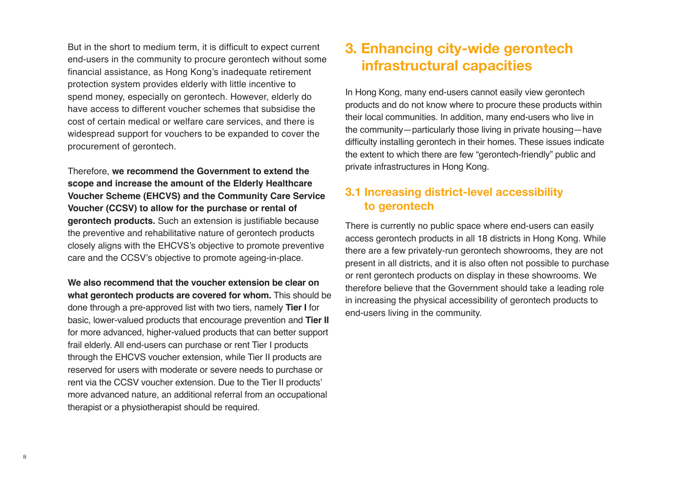But in the short to medium term, it is difficult to expect current end-users in the community to procure gerontech without some financial assistance, as Hong Kong's inadequate retirement protection system provides elderly with little incentive to spend money, especially on gerontech. However, elderly do have access to different voucher schemes that subsidise the cost of certain medical or welfare care services, and there is widespread support for vouchers to be expanded to cover the procurement of gerontech.

Therefore, **we recommend the Government to extend the scope and increase the amount of the Elderly Healthcare Voucher Scheme (EHCVS) and the Community Care Service Voucher (CCSV) to allow for the purchase or rental of gerontech products.** Such an extension is justifiable because the preventive and rehabilitative nature of gerontech products closely aligns with the EHCVS's objective to promote preventive care and the CCSV's objective to promote ageing-in-place.

**We also recommend that the voucher extension be clear on what gerontech products are covered for whom.** This should be done through a pre-approved list with two tiers, namely **Tier I** for basic, lower-valued products that encourage prevention and **Tier II** for more advanced, higher-valued products that can better support frail elderly. All end-users can purchase or rent Tier I products through the EHCVS voucher extension, while Tier II products are reserved for users with moderate or severe needs to purchase or rent via the CCSV voucher extension. Due to the Tier II products' more advanced nature, an additional referral from an occupational therapist or a physiotherapist should be required.

## **3. Enhancing city-wide gerontech infrastructural capacities**

In Hong Kong, many end-users cannot easily view gerontech products and do not know where to procure these products within their local communities. In addition, many end-users who live in the community—particularly those living in private housing—have difficulty installing gerontech in their homes. These issues indicate the extent to which there are few "gerontech-friendly" public and private infrastructures in Hong Kong.

### **3.1 Increasing district-level accessibility to gerontech**

There is currently no public space where end-users can easily access gerontech products in all 18 districts in Hong Kong. While there are a few privately-run gerontech showrooms, they are not present in all districts, and it is also often not possible to purchase or rent gerontech products on display in these showrooms. We therefore believe that the Government should take a leading role in increasing the physical accessibility of gerontech products to end-users living in the community.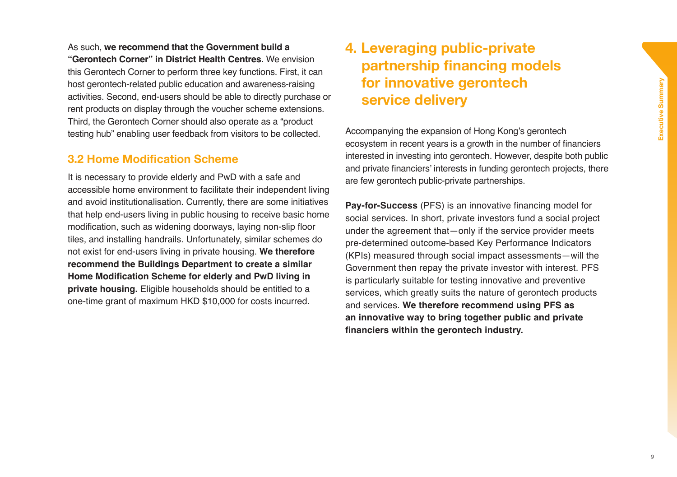As such, **we recommend that the Government build a** 

**"Gerontech Corner" in District Health Centres.** We envision this Gerontech Corner to perform three key functions. First, it can host gerontech-related public education and awareness-raising activities. Second, end-users should be able to directly purchase or rent products on display through the voucher scheme extensions. Third, the Gerontech Corner should also operate as a "product testing hub" enabling user feedback from visitors to be collected.

#### **3.2 Home Modification Scheme**

It is necessary to provide elderly and PwD with a safe and accessible home environment to facilitate their independent living and avoid institutionalisation. Currently, there are some initiatives that help end-users living in public housing to receive basic home modification, such as widening doorways, laying non-slip floor tiles, and installing handrails. Unfortunately, similar schemes do not exist for end-users living in private housing. **We therefore recommend the Buildings Department to create a similar Home Modification Scheme for elderly and PwD living in private housing.** Eligible households should be entitled to a one-time grant of maximum HKD \$10,000 for costs incurred.

## **4. Leveraging public-private partnership financing models for innovative gerontech service delivery**

Accompanying the expansion of Hong Kong's gerontech ecosystem in recent years is a growth in the number of financiers interested in investing into gerontech. However, despite both public and private financiers' interests in funding gerontech projects, there are few gerontech public-private partnerships.

**Pay-for-Success** (PFS) is an innovative financing model for social services. In short, private investors fund a social project under the agreement that—only if the service provider meets pre-determined outcome-based Key Performance Indicators (KPIs) measured through social impact assessments—will the Government then repay the private investor with interest. PFS is particularly suitable for testing innovative and preventive services, which greatly suits the nature of gerontech products and services. **We therefore recommend using PFS as an innovative way to bring together public and private financiers within the gerontech industry.**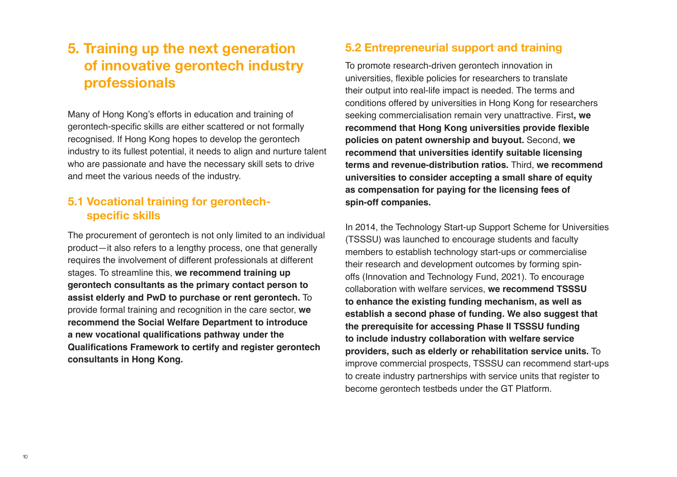# **5. Training up the next generation of innovative gerontech industry professionals**

Many of Hong Kong's efforts in education and training of gerontech-specific skills are either scattered or not formally recognised. If Hong Kong hopes to develop the gerontech industry to its fullest potential, it needs to align and nurture talent who are passionate and have the necessary skill sets to drive and meet the various needs of the industry.

### **5.1 Vocational training for gerontechspecific skills**

The procurement of gerontech is not only limited to an individual product—it also refers to a lengthy process, one that generally requires the involvement of different professionals at different stages. To streamline this, **we recommend training up gerontech consultants as the primary contact person to assist elderly and PwD to purchase or rent gerontech.** To provide formal training and recognition in the care sector, **we recommend the Social Welfare Department to introduce a new vocational qualifications pathway under the Qualifications Framework to certify and register gerontech consultants in Hong Kong.** 

### **5.2 Entrepreneurial support and training**

To promote research-driven gerontech innovation in universities, flexible policies for researchers to translate their output into real-life impact is needed. The terms and conditions offered by universities in Hong Kong for researchers seeking commercialisation remain very unattractive. First**, we recommend that Hong Kong universities provide flexible policies on patent ownership and buyout.** Second, **we recommend that universities identify suitable licensing terms and revenue-distribution ratios.** Third, **we recommend universities to consider accepting a small share of equity as compensation for paying for the licensing fees of spin-off companies.**

In 2014, the Technology Start-up Support Scheme for Universities (TSSSU) was launched to encourage students and faculty members to establish technology start-ups or commercialise their research and development outcomes by forming spinoffs (Innovation and Technology Fund, 2021). To encourage collaboration with welfare services, **we recommend TSSSU to enhance the existing funding mechanism, as well as establish a second phase of funding. We also suggest that the prerequisite for accessing Phase II TSSSU funding to include industry collaboration with welfare service providers, such as elderly or rehabilitation service units.** To improve commercial prospects, TSSSU can recommend start-ups to create industry partnerships with service units that register to become gerontech testbeds under the GT Platform.